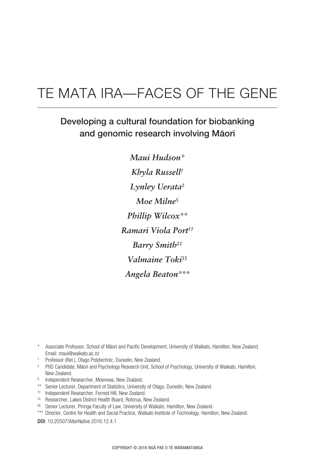# Te Mata Ira—Faces of the Gene

# Developing a cultural foundation for biobanking and genomic research involving Mäori

*Maui Hudson\* Khyla Russell† Lynley Uerata‡ Moe Milne§ Phillip Wilcox\*\* Ramari Viola Port†† Barry Smith‡‡ Valmaine Toki§§ Angela Beaton\*\*\**

- † Professor (Ret.), Otago Polytechnic, Dunedin, New Zealand.
- ‡ PhD Candidate, Mäori and Psychology Research Unit, School of Psychology, University of Waikato, Hamilton, New Zealand.
- § Independent Researcher, Moerewa, New Zealand.
- \*\* Senior Lecturer, Department of Statistics, University of Otago, Dunedin, New Zealand.
- †† Independent Researcher, Forrest Hill, New Zealand.
- ‡‡ Researcher, Lakes District Health Board, Rotorua, New Zealand.
- §§ Senior Lecturer, Piringa Faculty of Law, University of Waikato, Hamilton, New Zealand.
- \*\*\* Director, Centre for Health and Social Practice, Waikato Institute of Technology, Hamilton, New Zealand.

DOI: 10.20507/AlterNative.2016.12.4.1

Associate Professor, School of Māori and Pacific Development, University of Waikato, Hamilton, New Zealand. Email: maui@waikato.ac.nz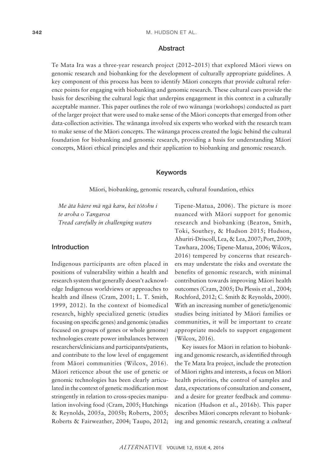#### **Abstract**

Te Mata Ira was a three-year research project (2012–2015) that explored Mäori views on genomic research and biobanking for the development of culturally appropriate guidelines. A key component of this process has been to identify Mäori concepts that provide cultural reference points for engaging with biobanking and genomic research. These cultural cues provide the basis for describing the cultural logic that underpins engagement in this context in a culturally acceptable manner. This paper outlines the role of two wänanga (workshops) conducted as part of the larger project that were used to make sense of the Mäori concepts that emerged from other data-collection activities. The wänanga involved six experts who worked with the research team to make sense of the Mäori concepts. The wänanga process created the logic behind the cultural foundation for biobanking and genomic research, providing a basis for understanding Mäori concepts, Mäori ethical principles and their application to biobanking and genomic research.

#### Keywords

Mäori, biobanking, genomic research, cultural foundation, ethics

*Me äta häere mä ngä karu, kei tötohu i te aroha o Tangaroa Tread carefully in challenging waters*

#### Introduction

Indigenous participants are often placed in positions of vulnerability within a health and research system that generally doesn't acknowledge Indigenous worldviews or approaches to health and illness (Cram, 2001; L. T. Smith, 1999, 2012). In the context of biomedical research, highly specialized genetic (studies focusing on specific genes) and genomic (studies focused on groups of genes or whole genome) technologies create power imbalances between researchers/clinicians and participants/patients, and contribute to the low level of engagement from Mäori communities (Wilcox, 2016). Mäori reticence about the use of genetic or genomic technologies has been clearly articulated in the context of genetic modification most stringently in relation to cross-species manipulation involving food (Cram, 2005; Hutchings & Reynolds, 2005a, 2005b; Roberts, 2005; Roberts & Fairweather, 2004; Taupo, 2012; Tipene-Matua, 2006). The picture is more nuanced with Mäori support for genomic research and biobanking (Beaton, Smith, Toki, Southey, & Hudson 2015; Hudson, Ahuriri-Driscoll, Lea, & Lea, 2007; Port, 2009; Tawhara, 2006; Tipene-Matua, 2006; Wilcox, 2016) tempered by concerns that researchers may understate the risks and overstate the benefits of genomic research, with minimal contribution towards improving Mäori health outcomes (Cram, 2005; Du Plessis et al., 2004; Rochford, 2012; C. Smith & Reynolds, 2000). With an increasing number of genetic/genomic studies being initiated by Mäori families or communities, it will be important to create appropriate models to support engagement (Wilcox, 2016).

Key issues for Mäori in relation to biobanking and genomic research, as identified through the Te Mata Ira project, include the protection of Mäori rights and interests, a focus on Mäori health priorities, the control of samples and data, expectations of consultation and consent, and a desire for greater feedback and communication (Hudson et al., 2016b). This paper describes Mäori concepts relevant to biobanking and genomic research, creating a *cultural*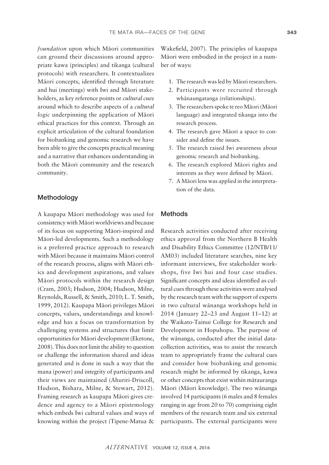*foundation* upon which Mäori communities can ground their discussions around appropriate kawa (principles) and tikanga (cultural protocols) with researchers. It contextualizes Mäori concepts, identified through literature and hui (meetings) with Iwi and Mäori stakeholders, as key reference points or *cultural cues* around which to describe aspects of a *cultural logic* underpinning the application of Mäori ethical practices for this context. Through an explicit articulation of the cultural foundation for biobanking and genomic research we have been able to give the concepts practical meaning and a narrative that enhances understanding in both the Mäori community and the research community.

# Methodology

A kaupapa Mäori methodology was used for consistency with Mäori worldviews and because of its focus on supporting Mäori-inspired and Mäori-led developments. Such a methodology is a preferred practice approach to research with Mäori because it maintains Mäori control of the research process, aligns with Mäori ethics and development aspirations, and values Mäori protocols within the research design (Cram, 2003; Hudson, 2004; Hudson, Milne, Reynolds, Russell, & Smith, 2010; L. T. Smith, 1999, 2012). Kaupapa Mäori privileges Mäori concepts, values, understandings and knowledge and has a focus on transformation by challenging systems and structures that limit opportunities for Mäori development (Eketone, 2008). This does not limit the ability to question or challenge the information shared and ideas generated and is done in such a way that the mana (power) and integrity of participants and their views are maintained (Ahuriri-Driscoll, Hudson, Bishara, Milne, & Stewart, 2012). Framing research as kaupapa Mäori gives credence and agency to a Mäori epistemology which embeds Iwi cultural values and ways of knowing within the project (Tipene-Matua &

Wakefield, 2007). The principles of kaupapa Mäori were embodied in the project in a number of ways:

- 1. The research was led by Mäori researchers.
- 2. Participants were recruited through whänaungatanga (relationships).
- 3. The researchers spoke te reo Mäori (Mäori language) and integrated tikanga into the research process.
- 4. The research gave Mäori a space to consider and define the issues.
- 5. The research raised Iwi awareness about genomic research and biobanking.
- 6. The research explored Mäori rights and interests as they were defined by Mäori.
- 7. A Mäori lens was applied in the interpretation of the data.

### **Methods**

Research activities conducted after receiving ethics approval from the Northern B Health and Disability Ethics Committee (12/NTB/11/ AM03) included literature searches, nine key informant interviews, five stakeholder workshops, five Iwi hui and four case studies. Significant concepts and ideas identified as cultural cues through these activities were analysed by the research team with the support of experts in two cultural wänanga workshops held in 2014 (January 22–23 and August 11–12) at the Waikato-Tainui College for Research and Development in Hopuhopu. The purpose of the wänanga, conducted after the initial datacollection activities, was to assist the research team to appropriately frame the cultural cues and consider how biobanking and genomic research might be informed by tikanga, kawa or other concepts that exist within mätauranga Mäori (Mäori knowledge). The two wänanga involved 14 participants (6 males and 8 females ranging in age from 20 to 70) comprising eight members of the research team and six external participants. The external participants were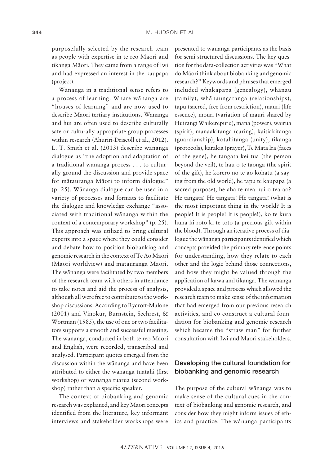purposefully selected by the research team as people with expertise in te reo Mäori and tikanga Mäori. They came from a range of Iwi and had expressed an interest in the kaupapa (project).

Wänanga in a traditional sense refers to a process of learning. Whare wänanga are "houses of learning" and are now used to describe Mäori tertiary institutions. Wänanga and hui are often used to describe culturally safe or culturally appropriate group processes within research (Ahuriri-Driscoll et al., 2012). L. T. Smith et al. (2013) describe wänanga dialogue as "the adoption and adaptation of a traditional wänanga process . . . to culturally ground the discussion and provide space for mätauranga Mäori to inform dialogue" (p. 25). Wänanga dialogue can be used in a variety of processes and formats to facilitate the dialogue and knowledge exchange "associated with traditional wänanga within the context of a contemporary workshop" (p. 25). This approach was utilized to bring cultural experts into a space where they could consider and debate how to position biobanking and genomic research in the context of Te Ao Mäori (Mäori worldview) and mätauranga Mäori. The wänanga were facilitated by two members of the research team with others in attendance to take notes and aid the process of analysis, although all were free to contribute to the workshop discussions. According to Rycroft-Malone (2001) and Vinokur, Burnstein, Sechrest, & Wortman (1985), the use of one or two facilitators supports a smooth and successful meeting. The wänanga, conducted in both te reo Mäori and English, were recorded, transcribed and analysed. Participant quotes emerged from the discussion within the wänanga and have been attributed to either the wananga tuatahi (first workshop) or wananga tuarua (second workshop) rather than a specific speaker.

The context of biobanking and genomic research was explained, and key Mäori concepts identified from the literature, key informant interviews and stakeholder workshops were presented to wänanga participants as the basis for semi-structured discussions. The key question for the data-collection activities was "What do Mäori think about biobanking and genomic research?" Keywords and phrases that emerged included whakapapa (genealogy), whänau (family), whänaungatanga (relationships), tapu (sacred, free from restriction), mauri (life essence), mouri (variation of mauri shared by Huirangi Waikerepuru), mana (power), wairua (spirit), manaakitanga (caring), kaitiakitanga (guardianship), kotahitanga (unity), tikanga (protocols), karakia (prayer), Te Mata Ira (faces of the gene), he tangata kei tua (the person beyond the veil), te hau o te taonga (the spirit of the gift), he körero nö te ao köhatu (a saying from the old world), he tapu te kaupapa (a sacred purpose), he aha te mea nui o tea ao? He tangata! He tangata! He tangata! (what is the most important thing in the world? It is people! It is people! It is people!), ko te kura huna ki roto ki te toto (a precious gift within the blood). Through an iterative process of dialogue the wänanga participants identified which concepts provided the primary reference points for understanding, how they relate to each other and the logic behind those connections, and how they might be valued through the application of kawa and tikanga. The wänanga provided a space and process which allowed the research team to make sense of the information that had emerged from our previous research activities, and co-construct a cultural foundation for biobanking and genomic research which became the "straw man" for further consultation with Iwi and Mäori stakeholders.

# Developing the cultural foundation for biobanking and genomic research

The purpose of the cultural wänanga was to make sense of the cultural cues in the context of biobanking and genomic research, and consider how they might inform issues of ethics and practice. The wänanga participants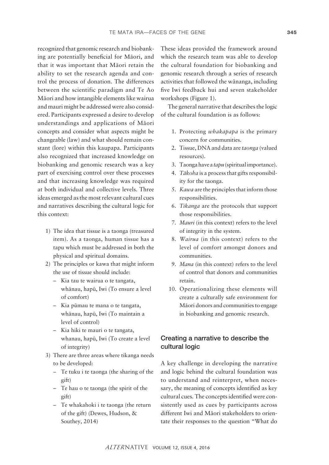recognized that genomic research and biobanking are potentially beneficial for Mäori, and that it was important that Mäori retain the ability to set the research agenda and control the process of donation. The differences between the scientific paradigm and Te Ao Mäori and how intangible elements like wairua and mauri might be addressed were also considered. Participants expressed a desire to develop understandings and applications of Mäori concepts and consider what aspects might be changeable (law) and what should remain constant (lore) within this kaupapa. Participants also recognized that increased knowledge on biobanking and genomic research was a key part of exercising control over these processes and that increasing knowledge was required at both individual and collective levels. Three ideas emerged as the most relevant cultural cues and narratives describing the cultural logic for this context:

- 1) The idea that tissue is a taonga (treasured item). As a taonga, human tissue has a tapu which must be addressed in both the physical and spiritual domains.
- 2) The principles or kawa that might inform the use of tissue should include:
	- Kia tau te wairua o te tangata, whänau, hapü, Iwi (To ensure a level of comfort)
	- Kia pümau te mana o te tangata, whänau, hapü, Iwi (To maintain a level of control)
	- Kia hiki te mauri o te tangata, whanau, hapü, Iwi (To create a level of integrity)
- 3) There are three areas where tikanga needs to be developed:
	- Te tuku i te taonga (the sharing of the gift)
	- Te hau o te taonga (the spirit of the gift)
	- Te whakahoki i te taonga (the return of the gift) (Dewes, Hudson, & Southey, 2014)

These ideas provided the framework around which the research team was able to develop the cultural foundation for biobanking and genomic research through a series of research activities that followed the wänanga, including five Iwi feedback hui and seven stakeholder workshops (Figure 1).

The general narrative that describes the logic of the cultural foundation is as follows:

- 1. Protecting *whakapapa* is the primary concern for communities.
- 2. Tissue, DNA and data are *taonga* (valued resources).
- 3. Taonga have a *tapu* (spiritual importance).
- 4. *Täkoha* is a process that gifts responsibility for the taonga.
- 5. *Kawa* are the principles that inform those responsibilities.
- 6. *Tikanga* are the protocols that support those responsibilities.
- 7. *Mauri* (in this context) refers to the level of integrity in the system.
- 8. *Wairua* (in this context) refers to the level of comfort amongst donors and communities.
- 9. *Mana* (in this context) refers to the level of control that donors and communities retain.
- 10. Operationalizing these elements will create a culturally safe environment for Mäori donors and communities to engage in biobanking and genomic research.

# Creating a narrative to describe the cultural logic

A key challenge in developing the narrative and logic behind the cultural foundation was to understand and reinterpret, when necessary, the meaning of concepts identified as key cultural cues. The concepts identified were consistently used as cues by participants across different Iwi and Mäori stakeholders to orientate their responses to the question "What do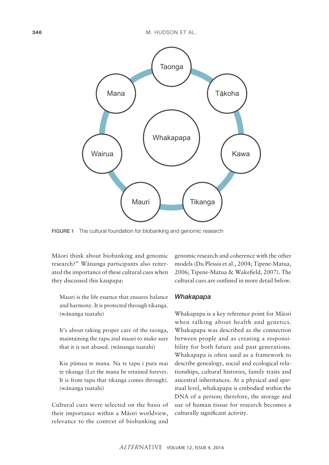

FIGURE 1 The cultural foundation for biobanking and genomic research

Mäori think about biobanking and genomic research?" Wänanga participants also reiterated the importance of these cultural cues when they discussed this kaupapa:

Mauri is the life essence that ensures balance and harmony. It is protected through tikanga. (wänanga tuatahi)

It's about taking proper care of the taonga, maintaining the tapu and mauri to make sure that it is not abused. (wänanga tuatahi)

Kia pümau te mana. Na te tapu i puta mai te tikanga (Let the mana be retained forever. It is from tapu that tikanga comes through). (wänanga tuatahi)

Cultural cues were selected on the basis of their importance within a Mäori worldview, relevance to the context of biobanking and

genomic research and coherence with the other models (Du Plessis et al., 2004; Tipene-Matua, 2006; Tipene-Matua & Wakefield, 2007). The cultural cues are outlined in more detail below.

#### *Whakapapa*

Whakapapa is a key reference point for Mäori when talking about health and genetics. Whakapapa was described as the connection between people and as creating a responsibility for both future and past generations. Whakapapa is often used as a framework to describe genealogy, social and ecological relationships, cultural histories, family traits and ancestral inheritances. At a physical and spiritual level, whakapapa is embodied within the DNA of a person; therefore, the storage and use of human tissue for research becomes a culturally significant activity.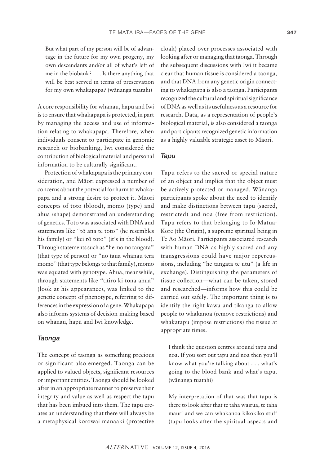But what part of my person will be of advantage in the future for my own progeny, my own descendants and/or all of what's left of me in the biobank? . . . Is there anything that will be best served in terms of preservation for my own whakapapa? (wänanga tuatahi)

A core responsibility for whänau, hapü and Iwi is to ensure that whakapapa is protected, in part by managing the access and use of information relating to whakapapa. Therefore, when individuals consent to participate in genomic research or biobanking, Iwi considered the contribution of biological material and personal information to be culturally significant.

Protection of whakapapa is the primary consideration, and Mäori expressed a number of concerns about the potential for harm to whakapapa and a strong desire to protect it. Mäori concepts of toto (blood), momo (type) and ahua (shape) demonstrated an understanding of genetics. Toto was associated with DNA and statements like "tö ana te toto" (he resembles his family) or "kei rö toto" (it's in the blood). Through statements such as "he momo tangata" (that type of person) or "nö taua whänau tera momo" (that type belongs to that family), momo was equated with genotype. Ahua, meanwhile, through statements like "titiro ki tona ähua" (look at his appearance), was linked to the genetic concept of phenotype, referring to differences in the expression of a gene. Whakapapa also informs systems of decision-making based on whänau, hapü and Iwi knowledge.

# *Taonga*

The concept of taonga as something precious or significant also emerged. Taonga can be applied to valued objects, significant resources or important entities. Taonga should be looked after in an appropriate manner to preserve their integrity and value as well as respect the tapu that has been imbued into them. The tapu creates an understanding that there will always be a metaphysical korowai manaaki (protective cloak) placed over processes associated with looking after or managing that taonga. Through the subsequent discussions with Iwi it became clear that human tissue is considered a taonga, and that DNA from any genetic origin connecting to whakapapa is also a taonga. Participants recognized the cultural and spiritual significance of DNA as well as its usefulness as a resource for research. Data, as a representation of people's biological material, is also considered a taonga and participants recognized genetic information as a highly valuable strategic asset to Mäori.

#### *Tapu*

Tapu refers to the sacred or special nature of an object and implies that the object must be actively protected or managed. Wänanga participants spoke about the need to identify and make distinctions between tapu (sacred, restricted) and noa (free from restriction). Tapu refers to that belonging to Io-Matua-Kore (the Origin), a supreme spiritual being in Te Ao Mäori. Participants associated research with human DNA as highly sacred and any transgressions could have major repercussions, including "he tangata te utu" (a life in exchange). Distinguishing the parameters of tissue collection—what can be taken, stored and researched—informs how this could be carried out safely. The important thing is to identify the right kawa and tikanga to allow people to whakanoa (remove restrictions) and whakatapu (impose restrictions) the tissue at appropriate times.

I think the question centres around tapu and noa. If you sort out tapu and noa then you'll know what you're talking about . . . what's going to the blood bank and what's tapu. (wänanga tuatahi)

My interpretation of that was that tapu is there to look after that te taha wairua, te taha mauri and we can whakanoa kikokiko stuff (tapu looks after the spiritual aspects and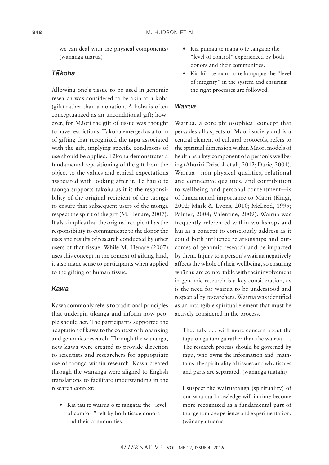we can deal with the physical components) (wänanga tuarua)

### *Ta–koha*

Allowing one's tissue to be used in genomic research was considered to be akin to a koha (gift) rather than a donation. A koha is often conceptualized as an unconditional gift; however, for Mäori the gift of tissue was thought to have restrictions. Täkoha emerged as a form of gifting that recognized the tapu associated with the gift, implying specific conditions of use should be applied. Täkoha demonstrates a fundamental repositioning of the gift from the object to the values and ethical expectations associated with looking after it. Te hau o te taonga supports täkoha as it is the responsibility of the original recipient of the taonga to ensure that subsequent users of the taonga respect the spirit of the gift (M. Henare, 2007). It also implies that the original recipient has the responsibility to communicate to the donor the uses and results of research conducted by other users of that tissue. While M. Henare (2007) uses this concept in the context of gifting land, it also made sense to participants when applied to the gifting of human tissue.

# *Kawa*

Kawa commonly refers to traditional principles that underpin tikanga and inform how people should act. The participants supported the adaptation of kawa to the context of biobanking and genomics research. Through the wänanga, new kawa were created to provide direction to scientists and researchers for appropriate use of taonga within research. Kawa created through the wänanga were aligned to English translations to facilitate understanding in the research context:

• Kia tau te wairua o te tangata: the "level" of comfort" felt by both tissue donors and their communities.

- • Kia pümau te mana o te tangata: the "level of control" experienced by both donors and their communities.
- • Kia hiki te mauri o te kaupapa: the "level of integrity" in the system and ensuring the right processes are followed.

# *Wairua*

Wairua, a core philosophical concept that pervades all aspects of Mäori society and is a central element of cultural protocols, refers to the spiritual dimension within Mäori models of health as a key component of a person's wellbeing (Ahuriri-Driscoll et al., 2012; Durie, 2004). Wairua—non-physical qualities, relational and connective qualities, and contribution to wellbeing and personal contentment—is of fundamental importance to Mäori (Kingi, 2002; Mark & Lyons, 2010; McLeod, 1999; Palmer, 2004; Valentine, 2009). Wairua was frequently referenced within workshops and hui as a concept to consciously address as it could both influence relationships and outcomes of genomic research and be impacted by them. Injury to a person's wairua negatively affects the whole of their wellbeing, so ensuring whänau are comfortable with their involvement in genomic research is a key consideration, as is the need for wairua to be understood and respected by researchers. Wairua was identified as an intangible spiritual element that must be actively considered in the process.

They talk . . . with more concern about the tapu o ngä taonga rather than the wairua . . . The research process should be governed by tapu, who owns the information and [maintains] the spirituality of tissues and why tissues and parts are separated. (wänanga tuatahi)

I suspect the wairuatanga (spirituality) of our whänau knowledge will in time become more recognized as a fundamental part of that genomic experience and experimentation. (wänanga tuarua)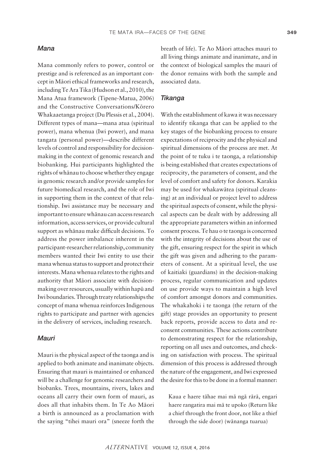#### *Mana*

Mana commonly refers to power, control or prestige and is referenced as an important concept in Mäori ethical frameworks and research, including Te Ara Tika (Hudson et al., 2010), the Mana Atua framework (Tipene-Matua, 2006) and the Constructive Conversations/Körero Whakaaetanga project (Du Plessis et al., 2004). Different types of mana—mana atua (spiritual power), mana whenua (Iwi power), and mana tangata (personal power)—describe different levels of control and responsibility for decisionmaking in the context of genomic research and biobanking. Hui participants highlighted the rights of whänau to choose whether they engage in genomic research and/or provide samples for future biomedical research, and the role of Iwi in supporting them in the context of that relationship. Iwi assistance may be necessary and important to ensure whänau can access research information, access services, or provide cultural support as whänau make difficult decisions. To address the power imbalance inherent in the participant-researcher relationship, community members wanted their Iwi entity to use their mana whenua status to support and protect their interests. Mana whenua relates to the rights and authority that Mäori associate with decisionmaking over resources, usually within hapü and Iwi boundaries. Through treaty relationships the concept of mana whenua reinforces Indigenous rights to participate and partner with agencies in the delivery of services, including research.

#### *Mauri*

Mauri is the physical aspect of the taonga and is applied to both animate and inanimate objects. Ensuring that mauri is maintained or enhanced will be a challenge for genomic researchers and biobanks. Trees, mountains, rivers, lakes and oceans all carry their own form of mauri, as does all that inhabits them. In Te Ao Mäori a birth is announced as a proclamation with the saying "tihei mauri ora" (sneeze forth the breath of life). Te Ao Mäori attaches mauri to all living things animate and inanimate, and in the context of biological samples the mauri of the donor remains with both the sample and associated data.

# *Tikanga*

With the establishment of kawa it was necessary to identify tikanga that can be applied to the key stages of the biobanking process to ensure expectations of reciprocity and the physical and spiritual dimensions of the process are met. At the point of te tuku i te taonga, a relationship is being established that creates expectations of reciprocity, the parameters of consent, and the level of comfort and safety for donors. Karakia may be used for whakawätea (spiritual cleansing) at an individual or project level to address the spiritual aspects of consent, while the physical aspects can be dealt with by addressing all the appropriate parameters within an informed consent process. Te hau o te taonga is concerned with the integrity of decisions about the use of the gift, ensuring respect for the spirit in which the gift was given and adhering to the parameters of consent. At a spiritual level, the use of kaitiaki (guardians) in the decision-making process, regular communication and updates on use provide ways to maintain a high level of comfort amongst donors and communities. The whakahoki i te taonga (the return of the gift) stage provides an opportunity to present back reports, provide access to data and reconsent communities. These actions contribute to demonstrating respect for the relationship, reporting on all uses and outcomes, and checking on satisfaction with process. The spiritual dimension of this process is addressed through the nature of the engagement, and Iwi expressed the desire for this to be done in a formal manner:

Kaua e haere tähae mai mä ngä rärä, engari haere rangatira mai mä te upoko (Return like a chief through the front door, not like a thief through the side door) (wänanga tuarua)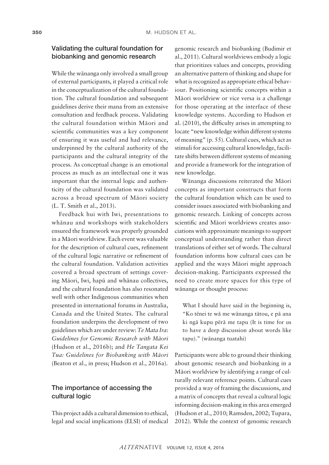# Validating the cultural foundation for biobanking and genomic research

While the wänanga only involved a small group of external participants, it played a critical role in the conceptualization of the cultural foundation. The cultural foundation and subsequent guidelines derive their mana from an extensive consultation and feedback process. Validating the cultural foundation within Mäori and scientific communities was a key component of ensuring it was useful and had relevance, underpinned by the cultural authority of the participants and the cultural integrity of the process. As conceptual change is an emotional process as much as an intellectual one it was important that the internal logic and authenticity of the cultural foundation was validated across a broad spectrum of Mäori society (L. T. Smith et al., 2013).

Feedback hui with Iwi, presentations to whänau and workshops with stakeholders ensured the framework was properly grounded in a Mäori worldview. Each event was valuable for the description of cultural cues, refinement of the cultural logic narrative or refinement of the cultural foundation. Validation activities covered a broad spectrum of settings covering Mäori, Iwi, hapü and whänau collectives, and the cultural foundation has also resonated well with other Indigenous communities when presented in international forums in Australia, Canada and the United States. The cultural foundation underpins the development of two guidelines which are under review: *Te Mata Ira: Guidelines for Genomic Research with Mäori* (Hudson et al., 2016b); and *He Tangata Kei Tua: Guidelines for Biobanking with Mäori*  (Beaton et al., in press; Hudson et al., 2016a).

# The importance of accessing the cultural logic

This project adds a cultural dimension to ethical, legal and social implications (ELSI) of medical genomic research and biobanking (Budimir et al., 2011). Cultural worldviews embody a logic that prioritizes values and concepts, providing an alternative pattern of thinking and shape for what is recognized as appropriate ethical behaviour. Positioning scientific concepts within a Mäori worldview or vice versa is a challenge for those operating at the interface of these knowledge systems. According to Hudson et al. (2010), the difficulty arises in attempting to locate "new knowledge within different systems of meaning" (p. 55). Cultural cues, which act as stimuli for accessing cultural knowledge, facilitate shifts between different systems of meaning and provide a framework for the integration of new knowledge.

Wänanga discussions reiterated the Mäori concepts as important constructs that form the cultural foundation which can be used to consider issues associated with biobanking and genomic research. Linking of concepts across scientific and Mäori worldviews creates associations with approximate meanings to support conceptual understanding rather than direct translations of either set of words. The cultural foundation informs how cultural cues can be applied and the ways Mäori might approach decision-making. Participants expressed the need to create more spaces for this type of wänanga or thought process:

What I should have said in the beginning is, "Ko tënei te wä me wänanga tätou, e pä ana ki ngä kupu përä me tapu (It is time for us to have a deep discussion about words like tapu)." (wänanga tuatahi)

Participants were able to ground their thinking about genomic research and biobanking in a Mäori worldview by identifying a range of culturally relevant reference points. Cultural cues provided a way of framing the discussions, and a matrix of concepts that reveal a cultural logic informing decision-making in this area emerged (Hudson et al., 2010; Ramsden, 2002; Tupara, 2012). While the context of genomic research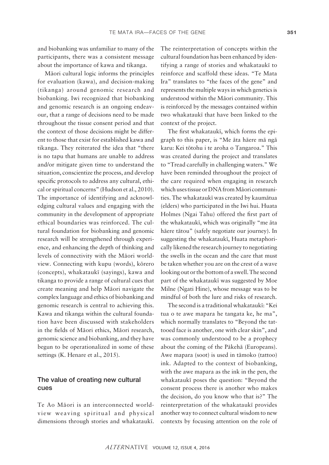and biobanking was unfamiliar to many of the participants, there was a consistent message about the importance of kawa and tikanga.

Mäori cultural logic informs the principles for evaluation (kawa), and decision-making (tikanga) around genomic research and biobanking. Iwi recognized that biobanking and genomic research is an ongoing endeavour, that a range of decisions need to be made throughout the tissue consent period and that the context of those decisions might be different to those that exist for established kawa and tikanga. They reiterated the idea that "there is no tapu that humans are unable to address and/or mitigate given time to understand the situation, conscientize the process, and develop specific protocols to address any cultural, ethical or spiritual concerns" (Hudson et al., 2010). The importance of identifying and acknowledging cultural values and engaging with the community in the development of appropriate ethical boundaries was reinforced. The cultural foundation for biobanking and genomic research will be strengthened through experience, and enhancing the depth of thinking and levels of connectivity with the Mäori worldview. Connecting with kupu (words), körero (concepts), whakataukï (sayings), kawa and tikanga to provide a range of cultural cues that create meaning and help Mäori navigate the complex language and ethics of biobanking and genomic research is central to achieving this. Kawa and tikanga within the cultural foundation have been discussed with stakeholders in the fields of Mäori ethics, Mäori research, genomic science and biobanking, and they have begun to be operationalized in some of these settings (K. Henare et al., 2015).

# The value of creating new cultural cues

Te Ao Mäori is an interconnected worldview weaving spiritual and physical dimensions through stories and whakataukï. The reinterpretation of concepts within the cultural foundation has been enhanced by identifying a range of stories and whakataukï to reinforce and scaffold these ideas. "Te Mata Ira" translates to "the faces of the gene" and represents the multiple ways in which genetics is understood within the Mäori community. This is reinforced by the messages contained within two whakataukï that have been linked to the context of the project.

The first whakataukï, which forms the epigraph to this paper, is "Me äta häere mä ngä karu: Kei tötohu i te aroha o Tangaroa." This was created during the project and translates to "Tread carefully in challenging waters." We have been reminded throughout the project of the care required when engaging in research which uses tissue or DNA from Mäori communities. The whakataukï was created by kaumätua (elders) who participated in the Iwi hui. Huata Holmes (Ngai Tahu) offered the first part of the whakataukï, which was originally "me äta häere tätou" (safely negotiate our journey). In suggesting the whakataukï, Huata metaphorically likened the research journey to negotiating the swells in the ocean and the care that must be taken whether you are on the crest of a wave looking out or the bottom of a swell. The second part of the whakataukï was suggested by Moe Milne (Ngati Hine), whose message was to be mindful of both the lure and risks of research.

The second is a traditional whakataukï: "Kei tua o te awe mapara he tangata ke, he ma", which normally translates to "Beyond the tattooed face is another, one with clear skin", and was commonly understood to be a prophecy about the coming of the Päkehä (Europeans). Awe mapara (soot) is used in tämoko (tattoo) ink. Adapted to the context of biobanking, with the awe mapara as the ink in the pen, the whakataukï poses the question: "Beyond the consent process there is another who makes the decision, do you know who that is?" The reinterpretation of the whakataukï provides another way to connect cultural wisdom to new contexts by focusing attention on the role of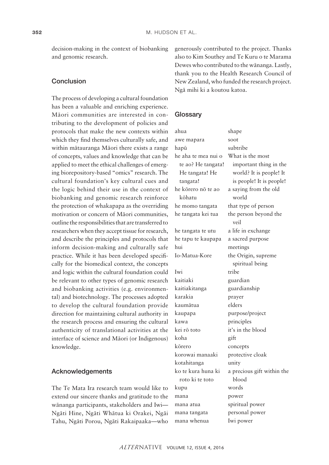decision-making in the context of biobanking and genomic research.

# Conclusion

The process of developing a cultural foundation has been a valuable and enriching experience. Mäori communities are interested in contributing to the development of policies and protocols that make the new contexts within which they find themselves culturally safe, and within mätauranga Mäori there exists a range of concepts, values and knowledge that can be applied to meet the ethical challenges of emerging biorepository-based "omics" research. The cultural foundation's key cultural cues and the logic behind their use in the context of biobanking and genomic research reinforce the protection of whakapapa as the overriding motivation or concern of Mäori communities, outline the responsibilities that are transferred to researchers when they accept tissue for research, and describe the principles and protocols that inform decision-making and culturally safe practice. While it has been developed specifically for the biomedical context, the concepts and logic within the cultural foundation could be relevant to other types of genomic research and biobanking activities (e.g. environmental) and biotechnology. The processes adopted to develop the cultural foundation provide direction for maintaining cultural authority in the research process and ensuring the cultural authenticity of translational activities at the interface of science and Mäori (or Indigenous) knowledge.

# Acknowledgements

The Te Mata Ira research team would like to extend our sincere thanks and gratitude to the wänanga participants, stakeholders and Iwi— Ngäti Hine, Ngäti Whätua ki Orakei, Ngäi Tahu, Ngäti Porou, Ngäti Rakaipaaka—who generously contributed to the project. Thanks also to Kim Southey and Te Kuru o te Marama Dewes who contributed to the wänanga. Lastly, thank you to the Health Research Council of New Zealand, who funded the research project. Ngä mihi ki a koutou katoa.

#### **Glossary**

| ahua                | shape                         |  |
|---------------------|-------------------------------|--|
| awe mapara          | soot                          |  |
| hapū                | subtribe                      |  |
| he aha te mea nui o | What is the most              |  |
| te ao? He tangata!  | important thing in the        |  |
| He tangata! He      | world? It is people! It       |  |
| tangata!            | is people! It is people!      |  |
| he kōrero nō te ao  | a saying from the old         |  |
| kōhatu              | world                         |  |
| he momo tangata     | that type of person           |  |
| he tangata kei tua  | the person beyond the<br>veil |  |
| he tangata te utu   | a life in exchange            |  |
| he tapu te kaupapa  | a sacred purpose              |  |
| hui                 | meetings                      |  |
| Io-Matua-Kore       | the Origin, supreme           |  |
|                     | spiritual being               |  |
| Iwi                 | tribe                         |  |
| kaitiaki            | guardian                      |  |
| kaitiakitanga       | guardianship                  |  |
| karakia             | prayer                        |  |
| kaumātua            | elders                        |  |
| kaupapa             | purpose/project               |  |
| kawa                | principles                    |  |
| kei rō toto         | it's in the blood             |  |
| koha                | gift                          |  |
| kōrero              | concepts                      |  |
| korowai manaaki     | protective cloak              |  |
| kotahitanga         | unity                         |  |
| ko te kura huna ki  | a precious gift within the    |  |
| roto ki te toto     | blood                         |  |
| kupu                | words                         |  |
| mana                | power                         |  |
| mana atua           | spiritual power               |  |
| mana tangata        | personal power                |  |
| mana whenua         | Iwi power                     |  |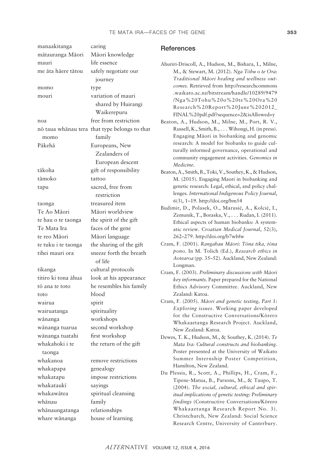| manaakitanga             | caring                                        | <b>References</b>                                                                                |
|--------------------------|-----------------------------------------------|--------------------------------------------------------------------------------------------------|
| mātauranga Māori         | Māori knowledge                               |                                                                                                  |
| mauri                    | life essence                                  | Ahuriri-Driscoll, A., Hudson, M., Bishara, I., Milne,                                            |
| me āta hāere tātou       | safely negotiate our                          | M., & Stewart, M. (2012). Nga Tōhu o te Ora:                                                     |
|                          | journey                                       | Traditional Māori healing and wellness out-                                                      |
| momo                     | type                                          | comes. Retrieved from http://researchcommons                                                     |
| mouri                    | variation of mauri                            | .waikato.ac.nz/bitstream/handle/10289/9479                                                       |
|                          | shared by Huirangi                            | /Nga%20Tohu%20o%20te%20Ora%20<br>Research%20Report%20June%202012_                                |
|                          | Waikerepuru                                   | FINAL%20pdf.pdf?sequence=2&isAllowed=y                                                           |
| noa                      | free from restriction                         | Beaton, A., Hudson, M., Milne, M., Port, R. V.,                                                  |
|                          | nō taua whānau tera that type belongs to that | Russell, K., Smith, B., Wihongi, H. (in press).                                                  |
| momo                     | family                                        | Engaging Māori in biobanking and genomic                                                         |
| Pākehā                   | Europeans, New                                | research: A model for biobanks to guide cul-                                                     |
|                          | Zealanders of                                 | turally informed governance, operational and<br>community engagement activities. Genomics in     |
|                          | European descent                              | Medicine.                                                                                        |
| tākoha                   | gift of responsibility                        | Beaton, A., Smith, B., Toki, V., Southey, K., & Hudson,                                          |
| tāmoko                   | tattoo                                        | M. (2015). Engaging Maori in biobanking and                                                      |
| tapu                     | sacred, free from                             | genetic research: Legal, ethical, and policy chal-                                               |
|                          | restriction                                   | lenges. International Indigenous Policy Journal,                                                 |
| taonga                   | treasured item                                | 6(3), 1-19. http://doi.org/bm54<br>Budimir, D., Polasek, O., Marusić, A., Kolcić, I.,            |
| Te Ao Māori              | Māori worldview                               | Zemunik, T., Boraska, V., Rudan, I. (2011).                                                      |
| te hau o te taonga       | the spirit of the gift                        | Ethical aspects of human biobanks: A system-                                                     |
| Te Mata Ira              | faces of the gene                             | atic review. Croatian Medical Journal, 52(3),                                                    |
| te reo Māori             | Māori language                                | 262-279. http://doi.org/b7wbfw                                                                   |
| te tuku i te taonga      | the sharing of the gift                       | Cram, F. (2001). Rangahau Māori: Tōna tika, tōna                                                 |
| tihei mauri ora          | sneeze forth the breath                       | pono. In M. Tolich (Ed.), Research ethics in<br>Aotearoa (pp. 35-52). Auckland, New Zealand:     |
|                          | of life                                       | Longman.                                                                                         |
| tikanga                  | cultural protocols                            | Cram, F. (2003). Preliminary discussions with Māori                                              |
| titiro ki tona āhua      | look at his appearance                        | key informants. Paper prepared for the National                                                  |
| tō ana te toto           | he resembles his family                       | Ethics Advisory Committee. Auckland, New                                                         |
| toto                     | blood                                         | Zealand: Katoa.                                                                                  |
| wairua                   | spirit                                        | Cram, F. (2005). Māori and genetic testing, Part 1:<br>Exploring issues. Working paper developed |
| wairuatanga              | spirituality                                  | for the Constructive Conversations/Korero                                                        |
| wānanga                  | workshops                                     | Whakaaetanga Research Project. Auckland,                                                         |
| wānanga tuarua           | second workshop                               | New Zealand: Katoa.                                                                              |
| wānanga tuatahi          | first workshop                                | Dewes, T. K., Hudson, M., & Southey, K. (2014). Te                                               |
| whakahoki i te<br>taonga | the return of the gift                        | Mata Ira: Cultural constructs and biobanking.<br>Poster presented at the University of Waikato   |
| whakanoa                 | remove restrictions                           | Summer Internship Poster Competition,                                                            |
| whakapapa                | genealogy                                     | Hamilton, New Zealand.                                                                           |
| whakatapu                | impose restrictions                           | Du Plessis, R., Scott, A., Phillips, H., Cram, F.,                                               |
| whakataukī               | sayings                                       | Tipene-Matua, B., Parsons, M., & Taupo, T.<br>(2004). The social, cultural, ethical and spir-    |
| whakawātea               | spiritual cleansing                           | itual implications of genetic testing: Preliminary                                               |
| whānau                   | family                                        | findings (Constructive Conversations/Körero                                                      |
| whānaungatanga           | relationships                                 | Whakaaetanga Research Report No. 3).                                                             |
| whare wānanga            | house of learning                             | Christchurch, New Zealand: Social Science<br>Research Centre, University of Canterbury.          |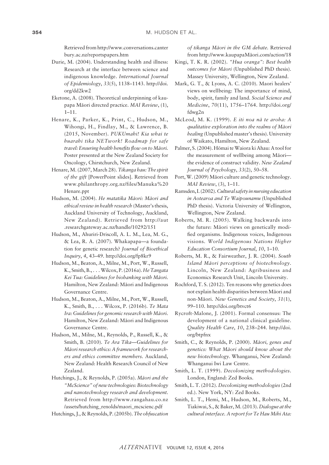Retrieved from [http://www.conversations.canter](http://www.conversations.canterbury.ac.nz/reportspapers.htm) [bury.ac.nz/reportspapers.htm](http://www.conversations.canterbury.ac.nz/reportspapers.htm)

- Durie, M. (2004). Understanding health and illness: Research at the interface between science and indigenous knowledge. *International Journal of Epidemiology*, *33*(5), 1138–1143. [http://doi.](http://doi.org/dd2kw2) [org/dd2kw2](http://doi.org/dd2kw2)
- Eketone, A. (2008). Theoretical underpinning of kaupapa Mäori directed practice. *MAI Review*, (1), 1–11.
- Henare, K., Parker, K., Print, C., Hudson, M., Wihongi, H., Findlay, M., & Lawrence, B. (2015, November). *PUKUmahi! Kia whai te huarahi tika NETwork! Roadmap for safe travel: Ensuring health benefits flow on to Mäori.* Poster presented at the New Zealand Society for Oncology, Chirstchurch, New Zealand.
- Henare, M. (2007, March 28). *Tikanga hau: The spirit of the gift* [PowerPoint slides]. Retrieved from [www.philanthropy.org.nz/files/Manuka%20](www.philanthropy.org.nz/files/Manuka%20Henare.ppt) [Henare.ppt](www.philanthropy.org.nz/files/Manuka%20Henare.ppt)
- Hudson, M. (2004). *He matatika Mäori: Mäori and ethical review in health research* (Master's thesis, Auckland University of Technology, Auckland, New Zealand). Retrieved from [http://aut](http://aut.researchgateway.ac.nz/handle/10292/151) [.researchgateway.ac.nz/handle/10292/151](http://aut.researchgateway.ac.nz/handle/10292/151)
- Hudson, M., Ahuriri-Driscoll, A. L. M., Lea, M. G., & Lea, R. A. (2007). Whakapapa—a foundation for genetic research? *Journal of Bioethical Inquiry*, *4*, 43–49.<http://doi.org/fp8kr9>
- Hudson, M., Beaton, A., Milne, M., Port, W., Russell, K., Smith, B., . . . Wilcox, P. (2016a). *He Tangata Kei Tua: Guidelines for biobanking with Mäori.* Hamilton, New Zealand: Mäori and Indigenous Governance Centre.
- Hudson, M., Beaton, A., Milne, M., Port, W., Russell, K., Smith, B., . . . Wilcox, P. (2016b). *Te Mata Ira: Guidelines for genomic research with Mäori*. Hamilton, New Zealand: Mäori and Indigenous Governance Centre.
- Hudson, M., Milne, M., Reynolds, P., Russell, K., & Smith, B. (2010). *Te Ara Tika—Guidelines for Mäori research ethics: A framework for researchers and ethics committee members.* Auckland, New Zealand: Health Research Council of New Zealand.
- Hutchings, J., & Reynolds, P. (2005a). *Mäori and the "McScience" of new technologies: Biotechnology and nanotechnology research and development.* Retrieved from [http://www.rangahau.co.nz](http://www.rangahau.co.nz/assets/hutching_renolds/maori_mcscienc.pdf) [/assets/hutching\\_renolds/maori\\_mcscienc.pdf](http://www.rangahau.co.nz/assets/hutching_renolds/maori_mcscienc.pdf)
- Hutchings, J., & Reynolds, P. (2005b). *The obfuscation*

*of tikanga Mäori in the GM debate.* Retrieved from http://www.kaupapaMäori.com/action/18

- Kingi, T. K. R. (2002). *"Hua oranga": Best health outcomes for Mäori* (Unpublished PhD thesis). Massey University, Wellington, New Zealand.
- Mark, G. T., & Lyons, A. C. (2010). Maori healers' views on wellbeing: The importance of mind, body, spirit, family and land. *Social Science and Medicine*, *70*(11), 1756–1764. [http://doi.org/](http://doi.org/fdwg2n) [fdwg2n](http://doi.org/fdwg2n)
- McLeod, M. K. (1999). *E iti noa nä te aroha: A qualitative exploration into the realms of Mäori healing* (Unpublished master's thesis). University of Waikato, Hamilton, New Zealand.
- Palmer, S. (2004). Hömai te Waiora ki Ahau: A tool for the measurement of wellbeing among Mäori the evidence of construct validity. *New Zealand Journal of Psychology*, *33*(2), 50–58.
- Port, W. (2009) Mäori culture and genetic technology. *MAI Review*, (3), 1–11.
- Ramsden, I. (2002). *Cultural safety in nursing education in Aotearoa and Te Waipounamu* (Unpublished PhD thesis). Victoria University of Wellington, Wellington, New Zealand.
- Roberts, M. R. (2005). Walking backwards into the future: Mäori views on genetically modified organisms. Indigenous voices, Indigenous visions. *World Indigenous Nations Higher Education Consortium Journal*, *10*, 1–10.
- Roberts, M. R., & Fairweather, J. R. (2004). *South Island Mäori perceptions of biotechnology*. Lincoln, New Zealand: Agribusiness and Economics Research Unit, Lincoln University.
- Rochford, T. S. (2012). Ten reasons why genetics does not explain health disparities between Mäori and non-Mäori. *New Genetics and Society*, *31*(1), 99–110.<http://doi.org/btvct6>
- Rycroft-Malone, J. (2001). Formal consensus: The development of a national clinical guideline. *Quality Health Care*, *10*, 238–244. [http://doi.](http://doi.org/btpfnx) [org/btpfnx](http://doi.org/btpfnx)
- Smith, C., & Reynolds, P. (2000). *Mäori, genes and genetics: What Mäori should know about the new biotechnology*. Whanganui, New Zealand: Whanganui Iwi Law Centre.
- Smith, L. T. (1999). *Decolonizing methodologies*. London, England: Zed Books.
- Smith, L. T. (2012). *Decolonizing methodologies* (2nd ed.). New York, NY: Zed Books.
- Smith, L. T., Hemi, M., Hudson, M., Roberts, M., Tiakiwai, S., & Baker, M. (2013). *Dialogue at the cultural interface. A report for Te Hau Mihi Ata:*